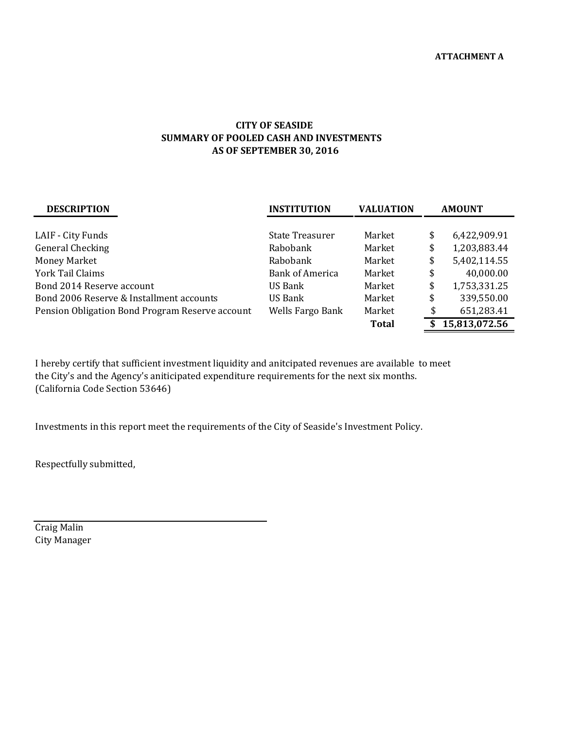## **AS OF SEPTEMBER 30, 2016 CITY OF SEASIDE SUMMARY OF POOLED CASH AND INVESTMENTS**

| <b>DESCRIPTION</b>                              | <b>INSTITUTION</b>     | VALUATION | <b>AMOUNT</b>      |  |
|-------------------------------------------------|------------------------|-----------|--------------------|--|
|                                                 |                        |           |                    |  |
| LAIF - City Funds                               | State Treasurer        | Market    | \$<br>6,422,909.91 |  |
| <b>General Checking</b>                         | Rabobank               | Market    | \$<br>1,203,883.44 |  |
| <b>Money Market</b>                             | Rabobank               | Market    | \$<br>5,402,114.55 |  |
| York Tail Claims                                | <b>Bank of America</b> | Market    | \$<br>40,000.00    |  |
| Bond 2014 Reserve account                       | US Bank                | Market    | \$<br>1,753,331.25 |  |
| Bond 2006 Reserve & Installment accounts        | US Bank                | Market    | \$<br>339,550.00   |  |
| Pension Obligation Bond Program Reserve account | Wells Fargo Bank       | Market    | \$<br>651,283.41   |  |
|                                                 |                        | Total     | 15,813,072.56      |  |

I hereby certify that sufficient investment liquidity and anitcipated revenues are available to meet the City's and the Agency's aniticipated expenditure requirements for the next six months. (California Code Section 53646)

Investments in this report meet the requirements of the City of Seaside's Investment Policy.

Respectfully submitted,

Craig Malin City Manager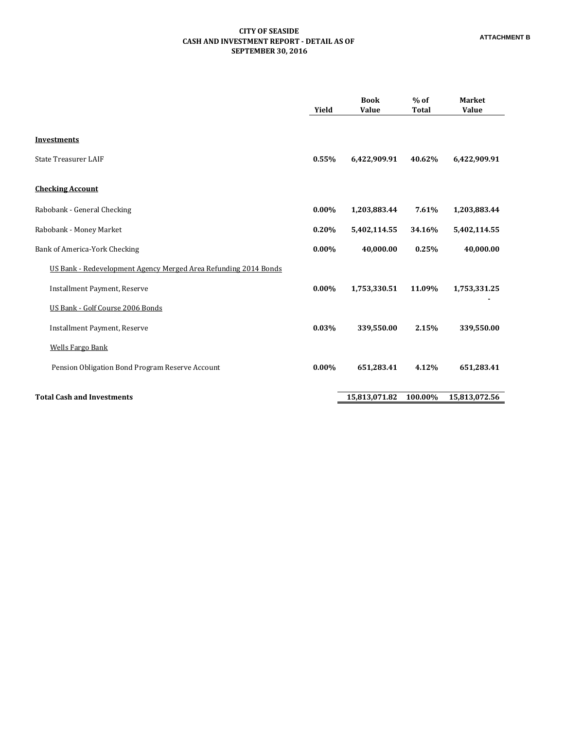## **CITY OF SEASIDE CASH AND INVESTMENT REPORT - DETAIL AS OF SEPTEMBER 30, 2016**

| Yield    | <b>Book</b><br>Value | $%$ of<br><b>Total</b> | <b>Market</b><br>Value |
|----------|----------------------|------------------------|------------------------|
| 0.55%    | 6,422,909.91         | 40.62%                 | 6,422,909.91           |
|          |                      |                        |                        |
| $0.00\%$ | 1,203,883.44         | 7.61%                  | 1,203,883.44           |
| 0.20%    | 5,402,114.55         | 34.16%                 | 5,402,114.55           |
| $0.00\%$ | 40,000.00            | 0.25%                  | 40,000.00              |
|          |                      |                        |                        |
| $0.00\%$ | 1,753,330.51         | 11.09%                 | 1,753,331.25           |
|          |                      |                        |                        |
| 0.03%    | 339,550.00           | 2.15%                  | 339,550.00             |
|          |                      |                        |                        |
| $0.00\%$ | 651,283.41           | 4.12%                  | 651,283.41             |
|          |                      |                        | 15,813,072.56          |
|          |                      | 15,813,071.82          | 100.00%                |